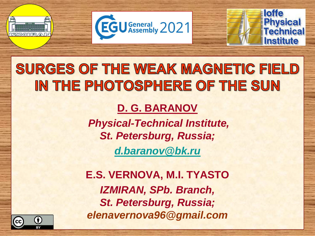



### SURGES OF THE WEAK MAGNETIC FIELD IN THE PHOTOSPHERE OF THE SUN

#### **D. G. BARANOV**

*Physical-Technical Institute, St. Petersburg, Russia; [d.baranov@bk.ru](mailto:d.baranov@bk.ru)*

**E.S. VERNOVA, M.I. TYASTO** *IZMIRAN, SPb. Branch, St. Petersburg, Russia; elenavernova96@gmail.com*

Ô

(cc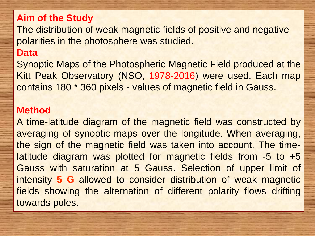#### **Aim of the Study**

The distribution of weak magnetic fields of positive and negative polarities in the photosphere was studied.

#### **Data**

Synoptic Maps of the Photospheric Magnetic Field produced at the Kitt Peak Observatory (NSO, 1978-2016) were used. Each map contains 180 \* 360 pixels - values of magnetic field in Gauss.

#### **Method**

A time-latitude diagram of the magnetic field was constructed by averaging of synoptic maps over the longitude. When averaging, the sign of the magnetic field was taken into account. The timelatitude diagram was plotted for magnetic fields from -5 to +5 Gauss with saturation at 5 Gauss. Selection of upper limit of intensity **5 G** allowed to consider distribution of weak magnetic fields showing the alternation of different polarity flows drifting towards poles.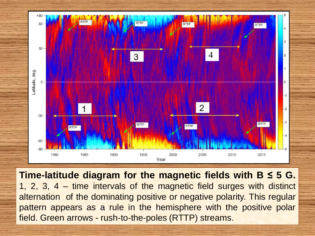

**Time-latitude diagram for the magnetic fields with B ≤ 5 G.** 1, 2, 3, 4 – time intervals of the magnetic field surges with distinct alternation of the dominating positive or negative polarity. This regular pattern appears as a rule in the hemisphere with the positive polar field. Green arrows - rush-to-the-poles (RTTP) streams.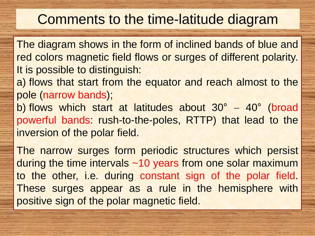### Comments to the time-latitude diagram

The diagram shows in the form of inclined bands of blue and red colors magnetic field flows or surges of different polarity. It is possible to distinguish:

a) flows that start from the equator and reach almost to the pole (narrow bands);

b) flows which start at latitudes about  $30^\circ - 40^\circ$  (broad powerful bands: rush-to-the-poles, RTTP) that lead to the inversion of the polar field.

The narrow surges form periodic structures which persist during the time intervals ~10 years from one solar maximum to the other, i.e. during constant sign of the polar field. These surges appear as a rule in the hemisphere with positive sign of the polar magnetic field.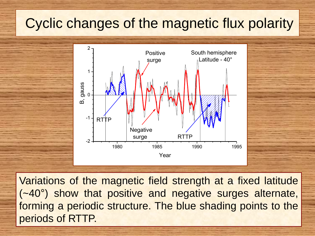### Cyclic changes of the magnetic flux polarity



Variations of the magnetic field strength at a fixed latitude (~40°) show that positive and negative surges alternate, forming a periodic structure. The blue shading points to the periods of RTTP.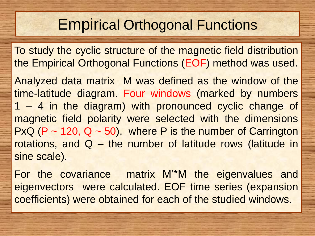### Empirical Orthogonal Functions

To study the cyclic structure of the magnetic field distribution the Empirical Orthogonal Functions (EOF) method was used.

Analyzed data matrix M was defined as the window of the time-latitude diagram. Four windows (marked by numbers 1 – 4 in the diagram) with pronounced cyclic change of magnetic field polarity were selected with the dimensions PxQ (P  $\sim$  120, Q  $\sim$  50), where P is the number of Carrington rotations, and Q – the number of latitude rows (latitude in sine scale).

For the covariance matrix M'\*M the eigenvalues and eigenvectors were calculated. EOF time series (expansion coefficients) were obtained for each of the studied windows.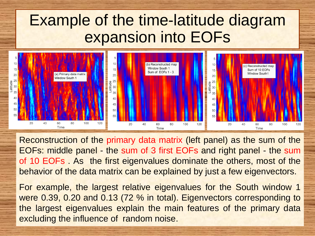### Example of the time-latitude diagram expansion into EOFs



Reconstruction of the primary data matrix (left panel) as the sum of the EOFs: middle panel - the sum of 3 first EOFs and right panel - the sum of 10 EOFs . As the first eigenvalues dominate the others, most of the behavior of the data matrix can be explained by just a few eigenvectors.

For example, the largest relative eigenvalues for the South window 1 were 0.39, 0.20 and 0.13 (72 % in total). Eigenvectors corresponding to the largest eigenvalues explain the main features of the primary data excluding the influence of random noise.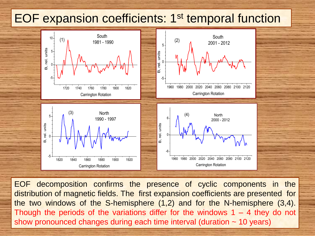#### EOF expansion coefficients: 1<sup>st</sup> temporal function



EOF decomposition confirms the presence of cyclic components in the distribution of magnetic fields. The first expansion coefficients are presented for the two windows of the S-hemisphere (1,2) and for the N-hemisphere (3,4). Though the periods of the variations differ for the windows  $1 - 4$  they do not show pronounced changes during each time interval (duration ~ 10 years)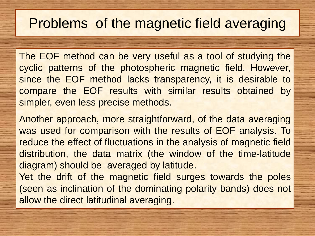### Problems of the magnetic field averaging

The EOF method can be very useful as a tool of studying the cyclic patterns of the photospheric magnetic field. However, since the EOF method lacks transparency, it is desirable to compare the EOF results with similar results obtained by simpler, even less precise methods.

Another approach, more straightforward, of the data averaging was used for comparison with the results of EOF analysis. To reduce the effect of fluctuations in the analysis of magnetic field distribution, the data matrix (the window of the time-latitude diagram) should be averaged by latitude.

Yet the drift of the magnetic field surges towards the poles (seen as inclination of the dominating polarity bands) does not allow the direct latitudinal averaging.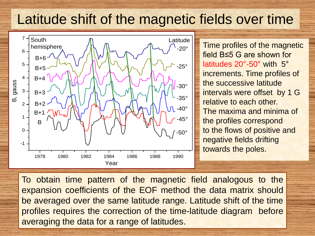### Latitude shift of the magnetic fields over time



Time profiles of the magnetic field B≤5 G are shown for latitudes 20°-50° with 5° increments. Time profiles of the successive latitude intervals were offset by 1 G relative to each other. The maxima and minima of the profiles correspond to the flows of positive and negative fields drifting towards the poles.

To obtain time pattern of the magnetic field analogous to the expansion coefficients of the EOF method the data matrix should be averaged over the same latitude range. Latitude shift of the time profiles requires the correction of the time-latitude diagram before averaging the data for a range of latitudes.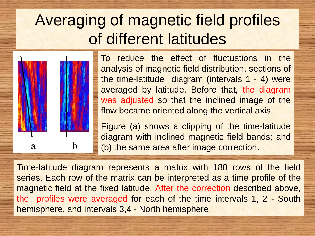## Averaging of magnetic field profiles of different latitudes



To reduce the effect of fluctuations in the analysis of magnetic field distribution, sections of the time-latitude diagram (intervals 1 - 4) were averaged by latitude. Before that, the diagram was adjusted so that the inclined image of the flow became oriented along the vertical axis.

Figure (a) shows a clipping of the time-latitude diagram with inclined magnetic field bands; and (b) the same area after image correction.

Time-latitude diagram represents a matrix with 180 rows of the field series. Each row of the matrix can be interpreted as a time profile of the magnetic field at the fixed latitude. After the correction described above, the profiles were averaged for each of the time intervals 1, 2 - South hemisphere, and intervals 3,4 - North hemisphere.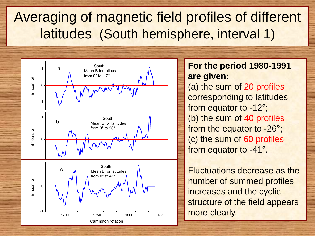### Averaging of magnetic field profiles of different latitudes (South hemisphere, interval 1)



**For the period 1980-1991 are given:**  (a) the sum of 20 profiles corresponding to latitudes from equator to -12°; (b) the sum of 40 profiles from the equator to -26°; (c) the sum of 60 profiles from equator to -41°.

Fluctuations decrease as the number of summed profiles increases and the cyclic structure of the field appears more clearly.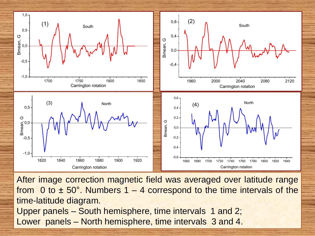

After image correction magnetic field was averaged over latitude range from 0 to  $\pm$  50°. Numbers 1 – 4 correspond to the time intervals of the time-latitude diagram. Upper panels – South hemisphere, time intervals 1 and 2; Lower panels – North hemisphere, time intervals 3 and 4.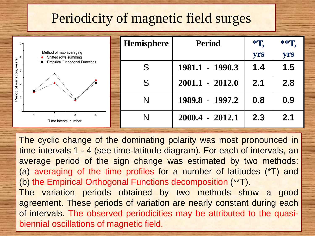### Periodicity of magnetic field surges

| $5 -$ |                                                              | Hemisphere | <b>Period</b>     | $*T$ | $**T$ . |
|-------|--------------------------------------------------------------|------------|-------------------|------|---------|
| $2 -$ | Method of map averaging<br>$-\bullet$ - Shifted rows summing |            |                   | yrs  | yrs     |
|       | --- Empirical Orthogonal Functions                           |            | 1981.1 - 1990.3   | 1.4  | 1.5     |
|       |                                                              | S          | $2001.1 - 2012.0$ | 2.1  | 2.8     |
|       |                                                              | N          | 1989.8 - 1997.2   | 0.8  | 0.9     |
| $0 -$ | Time interval number                                         | Ν          | $2000.4 - 2012.1$ | 2.3  | 2.1     |

The cyclic change of the dominating polarity was most pronounced in time intervals 1 - 4 (see time-latitude diagram). For each of intervals, an average period of the sign change was estimated by two methods: (a) averaging of the time profiles for a number of latitudes (\*T) and (b) the Empirical Orthogonal Functions decomposition (\*\*T). The variation periods obtained by two methods show a good agreement. These periods of variation are nearly constant during each of intervals. The observed periodicities may be attributed to the quasibiennial oscillations of magnetic field.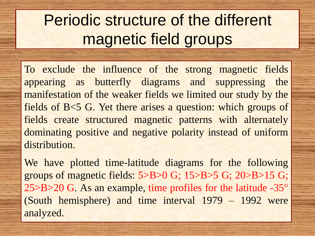## Periodic structure of the different magnetic field groups

To exclude the influence of the strong magnetic fields appearing as butterfly diagrams and suppressing the manifestation of the weaker fields we limited our study by the fields of B<5 G. Yet there arises a question: which groups of fields create structured magnetic patterns with alternately dominating positive and negative polarity instead of uniform distribution.

We have plotted time-latitude diagrams for the following groups of magnetic fields: 5>B>0 G; 15>B>5 G; 20>B>15 G; 25>B>20 G. As an example, time profiles for the latitude -35° (South hemisphere) and time interval 1979 – 1992 were analyzed.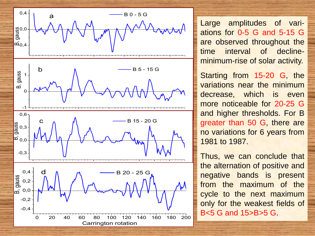

Large amplitudes of variations for 0-5 G and 5-15 G are observed throughout the time interval of declineminimum-rise of solar activity.

Starting from 15-20 G, the variations near the minimum decrease, which is even more noticeable for 20-25 G and higher thresholds. For B greater than 50 G, there are no variations for 6 years from 1981 to 1987.

Thus, we can conclude that the alternation of positive and negative bands is present from the maximum of the cycle to the next maximum only for the weakest fields of B<5 G and 15>B>5 G.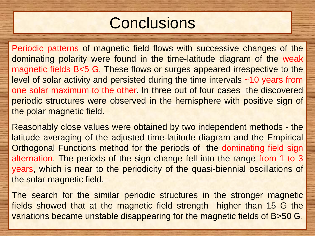## **Conclusions**

Periodic patterns of magnetic field flows with successive changes of the dominating polarity were found in the time-latitude diagram of the weak magnetic fields B<5 G. These flows or surges appeared irrespective to the level of solar activity and persisted during the time intervals ~10 years from one solar maximum to the other. In three out of four cases the discovered periodic structures were observed in the hemisphere with positive sign of the polar magnetic field.

Reasonably close values were obtained by two independent methods - the latitude averaging of the adjusted time-latitude diagram and the Empirical Orthogonal Functions method for the periods of the dominating field sign alternation. The periods of the sign change fell into the range from 1 to 3 years, which is near to the periodicity of the quasi-biennial oscillations of the solar magnetic field.

The search for the similar periodic structures in the stronger magnetic fields showed that at the magnetic field strength higher than 15 G the variations became unstable disappearing for the magnetic fields of B>50 G.